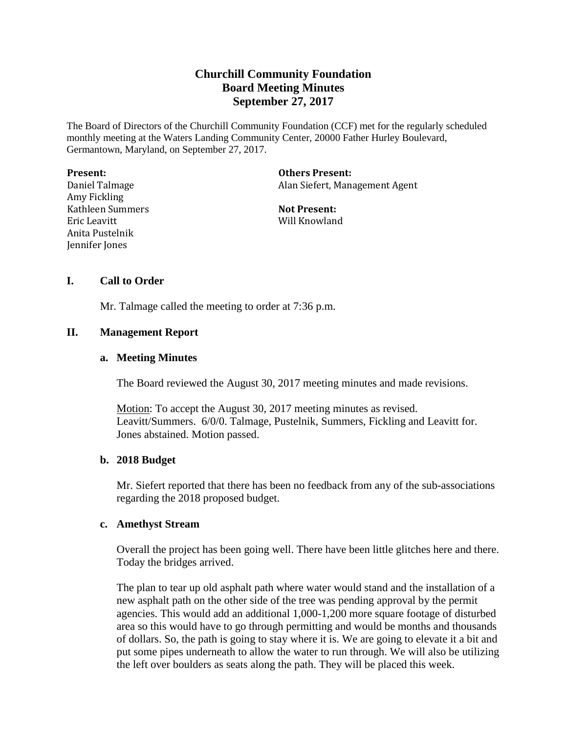# **Churchill Community Foundation Board Meeting Minutes September 27, 2017**

The Board of Directors of the Churchill Community Foundation (CCF) met for the regularly scheduled monthly meeting at the Waters Landing Community Center, 20000 Father Hurley Boulevard, Germantown, Maryland, on September 27, 2017.

**Present:** Daniel Talmage Amy Fickling Kathleen Summers Eric Leavitt Anita Pustelnik Jennifer Jones

**Others Present:** Alan Siefert, Management Agent

**Not Present:** Will Knowland

# **I. Call to Order**

Mr. Talmage called the meeting to order at 7:36 p.m.

# **II. Management Report**

# **a. Meeting Minutes**

The Board reviewed the August 30, 2017 meeting minutes and made revisions.

Motion: To accept the August 30, 2017 meeting minutes as revised. Leavitt/Summers. 6/0/0. Talmage, Pustelnik, Summers, Fickling and Leavitt for. Jones abstained. Motion passed.

# **b. 2018 Budget**

Mr. Siefert reported that there has been no feedback from any of the sub-associations regarding the 2018 proposed budget.

# **c. Amethyst Stream**

Overall the project has been going well. There have been little glitches here and there. Today the bridges arrived.

The plan to tear up old asphalt path where water would stand and the installation of a new asphalt path on the other side of the tree was pending approval by the permit agencies. This would add an additional 1,000-1,200 more square footage of disturbed area so this would have to go through permitting and would be months and thousands of dollars. So, the path is going to stay where it is. We are going to elevate it a bit and put some pipes underneath to allow the water to run through. We will also be utilizing the left over boulders as seats along the path. They will be placed this week.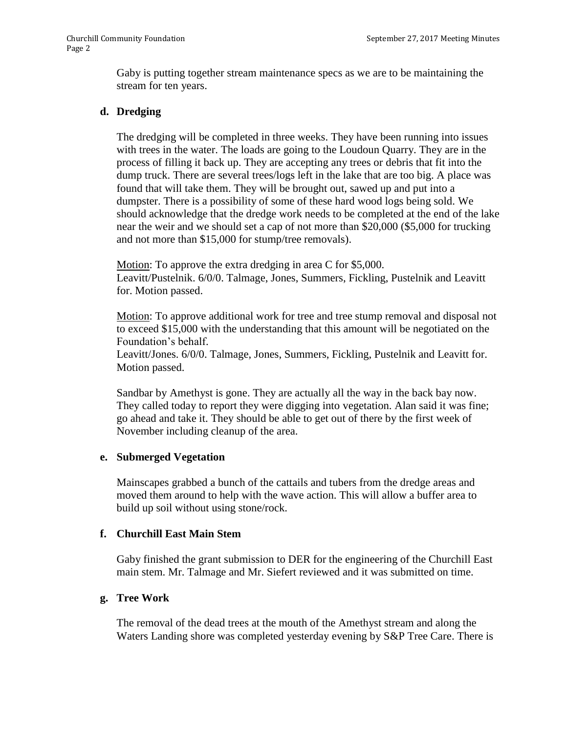Gaby is putting together stream maintenance specs as we are to be maintaining the stream for ten years.

# **d. Dredging**

The dredging will be completed in three weeks. They have been running into issues with trees in the water. The loads are going to the Loudoun Quarry. They are in the process of filling it back up. They are accepting any trees or debris that fit into the dump truck. There are several trees/logs left in the lake that are too big. A place was found that will take them. They will be brought out, sawed up and put into a dumpster. There is a possibility of some of these hard wood logs being sold. We should acknowledge that the dredge work needs to be completed at the end of the lake near the weir and we should set a cap of not more than \$20,000 (\$5,000 for trucking and not more than \$15,000 for stump/tree removals).

Motion: To approve the extra dredging in area C for \$5,000. Leavitt/Pustelnik. 6/0/0. Talmage, Jones, Summers, Fickling, Pustelnik and Leavitt for. Motion passed.

Motion: To approve additional work for tree and tree stump removal and disposal not to exceed \$15,000 with the understanding that this amount will be negotiated on the Foundation's behalf.

Leavitt/Jones. 6/0/0. Talmage, Jones, Summers, Fickling, Pustelnik and Leavitt for. Motion passed.

Sandbar by Amethyst is gone. They are actually all the way in the back bay now. They called today to report they were digging into vegetation. Alan said it was fine; go ahead and take it. They should be able to get out of there by the first week of November including cleanup of the area.

# **e. Submerged Vegetation**

Mainscapes grabbed a bunch of the cattails and tubers from the dredge areas and moved them around to help with the wave action. This will allow a buffer area to build up soil without using stone/rock.

# **f. Churchill East Main Stem**

Gaby finished the grant submission to DER for the engineering of the Churchill East main stem. Mr. Talmage and Mr. Siefert reviewed and it was submitted on time.

# **g. Tree Work**

The removal of the dead trees at the mouth of the Amethyst stream and along the Waters Landing shore was completed yesterday evening by S&P Tree Care. There is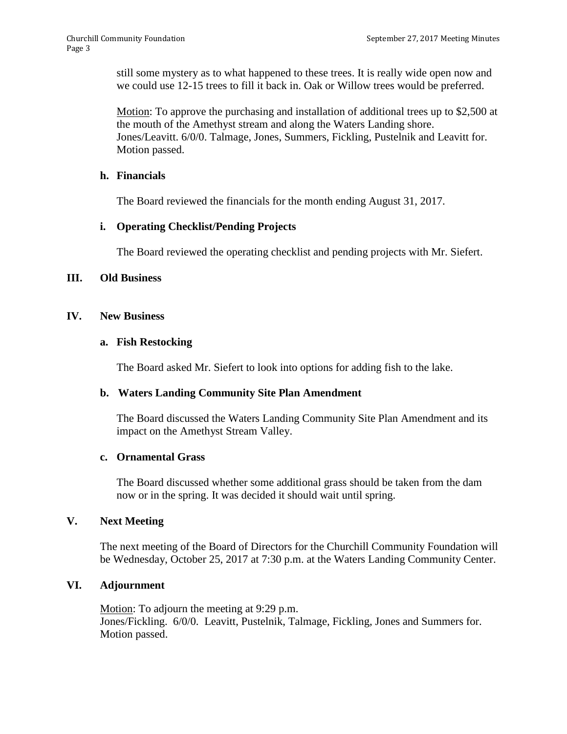still some mystery as to what happened to these trees. It is really wide open now and we could use 12-15 trees to fill it back in. Oak or Willow trees would be preferred.

Motion: To approve the purchasing and installation of additional trees up to \$2,500 at the mouth of the Amethyst stream and along the Waters Landing shore. Jones/Leavitt. 6/0/0. Talmage, Jones, Summers, Fickling, Pustelnik and Leavitt for. Motion passed.

### **h. Financials**

The Board reviewed the financials for the month ending August 31, 2017.

# **i. Operating Checklist/Pending Projects**

The Board reviewed the operating checklist and pending projects with Mr. Siefert.

# **III. Old Business**

# **IV. New Business**

#### **a. Fish Restocking**

The Board asked Mr. Siefert to look into options for adding fish to the lake.

# **b. Waters Landing Community Site Plan Amendment**

The Board discussed the Waters Landing Community Site Plan Amendment and its impact on the Amethyst Stream Valley.

#### **c. Ornamental Grass**

The Board discussed whether some additional grass should be taken from the dam now or in the spring. It was decided it should wait until spring.

# **V. Next Meeting**

The next meeting of the Board of Directors for the Churchill Community Foundation will be Wednesday, October 25, 2017 at 7:30 p.m. at the Waters Landing Community Center.

# **VI. Adjournment**

Motion: To adjourn the meeting at 9:29 p.m. Jones/Fickling. 6/0/0. Leavitt, Pustelnik, Talmage, Fickling, Jones and Summers for. Motion passed.